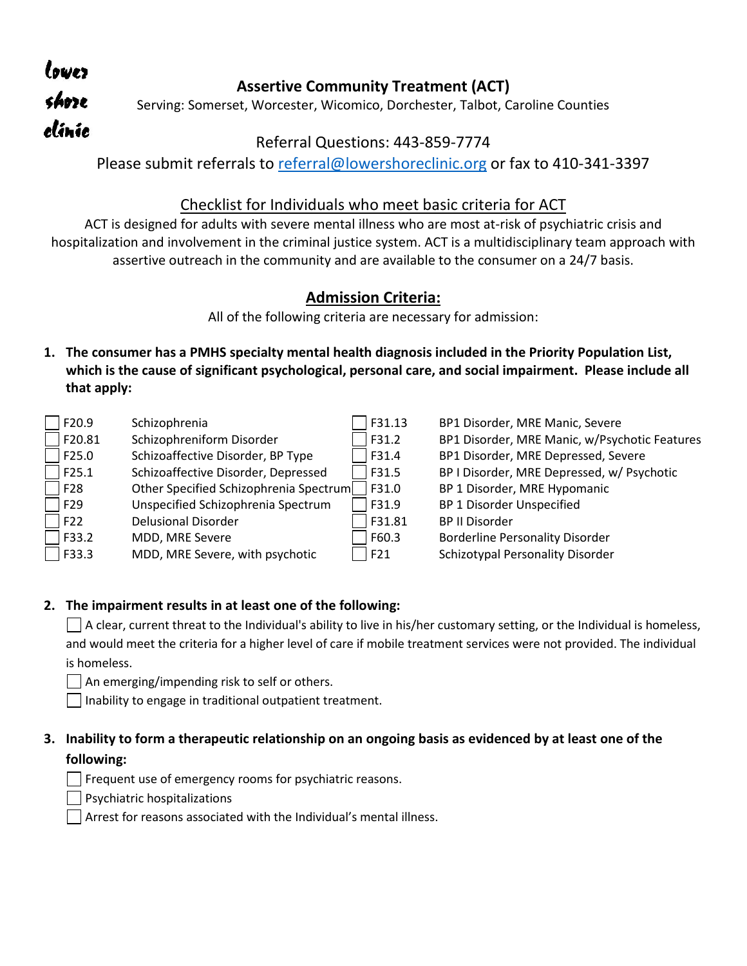| lowez. |                                                                               |
|--------|-------------------------------------------------------------------------------|
|        | <b>Assertive Community Treatment (ACT)</b>                                    |
| shoze  | Serving: Somerset, Worcester, Wicomico, Dorchester, Talbot, Caroline Counties |
| clínic |                                                                               |

## Referral Questions: 443-859-7774

Please submit referrals to [referral@lowershoreclinic.org](mailto:referral@lowershoreclinic.org) or fax to 410-341-3397

## Checklist for Individuals who meet basic criteria for ACT

ACT is designed for adults with severe mental illness who are most at-risk of psychiatric crisis and hospitalization and involvement in the criminal justice system. ACT is a multidisciplinary team approach with assertive outreach in the community and are available to the consumer on a 24/7 basis.

# **Admission Criteria:**

All of the following criteria are necessary for admission:

**1. The consumer has a PMHS specialty mental health diagnosis included in the Priority Population List, which is the cause of significant psychological, personal care, and social impairment. Please include all that apply:** 

| $\Box$ F20.9                 | Schizophrenia                          | F31.13 | BP1 Disorder, MRE Manic, Severe               |
|------------------------------|----------------------------------------|--------|-----------------------------------------------|
| $\sqrt{20.81}$               | Schizophreniform Disorder              | F31.2  | BP1 Disorder, MRE Manic, w/Psychotic Features |
| F25.0                        | Schizoaffective Disorder, BP Type      | F31.4  | BP1 Disorder, MRE Depressed, Severe           |
| F25.1                        | Schizoaffective Disorder, Depressed    | F31.5  | BP I Disorder, MRE Depressed, w/ Psychotic    |
| $\overline{\phantom{1}}$ F28 | Other Specified Schizophrenia Spectrum | F31.0  | BP 1 Disorder, MRE Hypomanic                  |
| $\sqrt{5}$ F29               | Unspecified Schizophrenia Spectrum     | F31.9  | BP 1 Disorder Unspecified                     |
| F22                          | <b>Delusional Disorder</b>             | F31.81 | <b>BP II Disorder</b>                         |
| F33.2                        | MDD, MRE Severe                        | F60.3  | <b>Borderline Personality Disorder</b>        |
| F33.3                        | MDD, MRE Severe, with psychotic        | F21    | Schizotypal Personality Disorder              |

#### **2. The impairment results in at least one of the following:**

 $\Box$  A clear, current threat to the Individual's ability to live in his/her customary setting, or the Individual is homeless, and would meet the criteria for a higher level of care if mobile treatment services were not provided. The individual is homeless.

 $\Box$  An emerging/impending risk to self or others.

 $\Box$  Inability to engage in traditional outpatient treatment.

### **3. Inability to form a therapeutic relationship on an ongoing basis as evidenced by at least one of the following:**

 $\Box$  Frequent use of emergency rooms for psychiatric reasons.

Psychiatric hospitalizations

Arrest for reasons associated with the Individual's mental illness.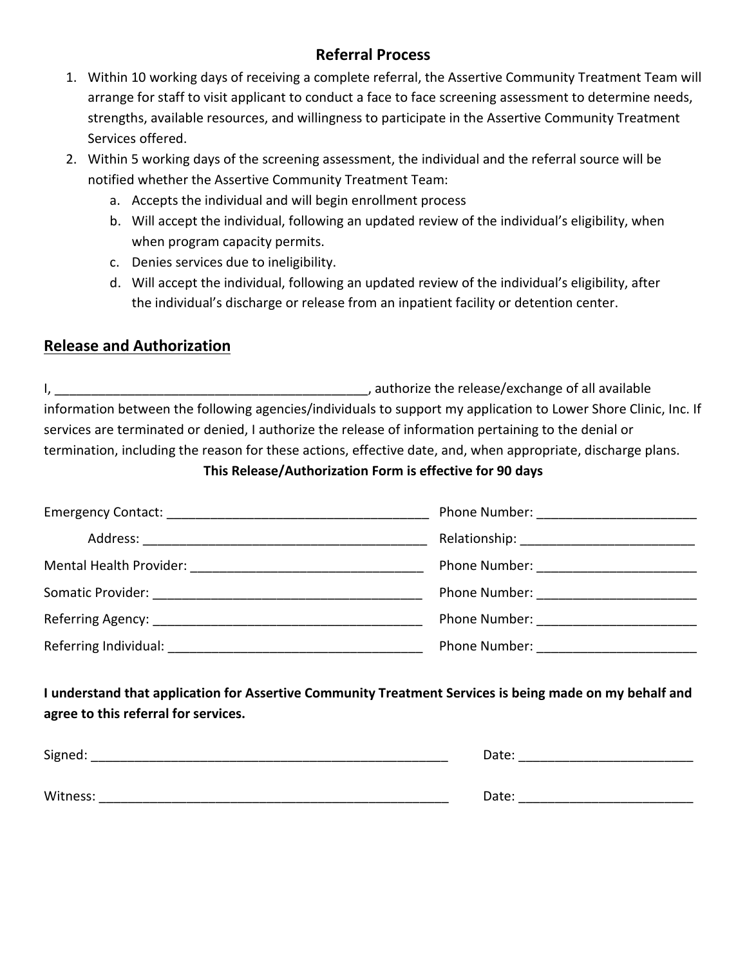# **Referral Process**

- 1. Within 10 working days of receiving a complete referral, the Assertive Community Treatment Team will arrange for staff to visit applicant to conduct a face to face screening assessment to determine needs, strengths, available resources, and willingness to participate in the Assertive Community Treatment Services offered.
- 2. Within 5 working days of the screening assessment, the individual and the referral source will be notified whether the Assertive Community Treatment Team:
	- a. Accepts the individual and will begin enrollment process
	- b. Will accept the individual, following an updated review of the individual's eligibility, when when program capacity permits.
	- c. Denies services due to ineligibility.
	- d. Will accept the individual, following an updated review of the individual's eligibility, after the individual's discharge or release from an inpatient facility or detention center.

# **Release and Authorization**

I, \_\_\_\_\_\_\_\_\_\_\_\_\_\_\_\_\_\_\_\_\_\_\_\_\_\_\_\_\_\_\_\_\_\_\_\_\_\_\_\_\_\_\_, authorize the release/exchange of all available information between the following agencies/individuals to support my application to Lower Shore Clinic, Inc. If services are terminated or denied, I authorize the release of information pertaining to the denial or termination, including the reason for these actions, effective date, and, when appropriate, discharge plans.

### **This Release/Authorization Form is effective for 90 days**

|                                                  | Phone Number: <u>_____________</u>                                                                                                                                                                                            |
|--------------------------------------------------|-------------------------------------------------------------------------------------------------------------------------------------------------------------------------------------------------------------------------------|
|                                                  |                                                                                                                                                                                                                               |
| Mental Health Provider: New York 1997            | Phone Number: <u>_________________</u>                                                                                                                                                                                        |
| Somatic Provider: <u>_______________________</u> | Phone Number: <u>_________</u>                                                                                                                                                                                                |
|                                                  | Phone Number: The Contract of the Contract of the Contract of the Contract of the Contract of the Contract of the Contract of the Contract of the Contract of the Contract of the Contract of the Contract of the Contract of |
| Referring Individual: Networkship                | Phone Number:                                                                                                                                                                                                                 |

**I understand that application for Assertive Community Treatment Services is being made on my behalf and agree to this referral for services.** 

| Signed:  | Date: |
|----------|-------|
|          |       |
| Witness: | Date: |
|          |       |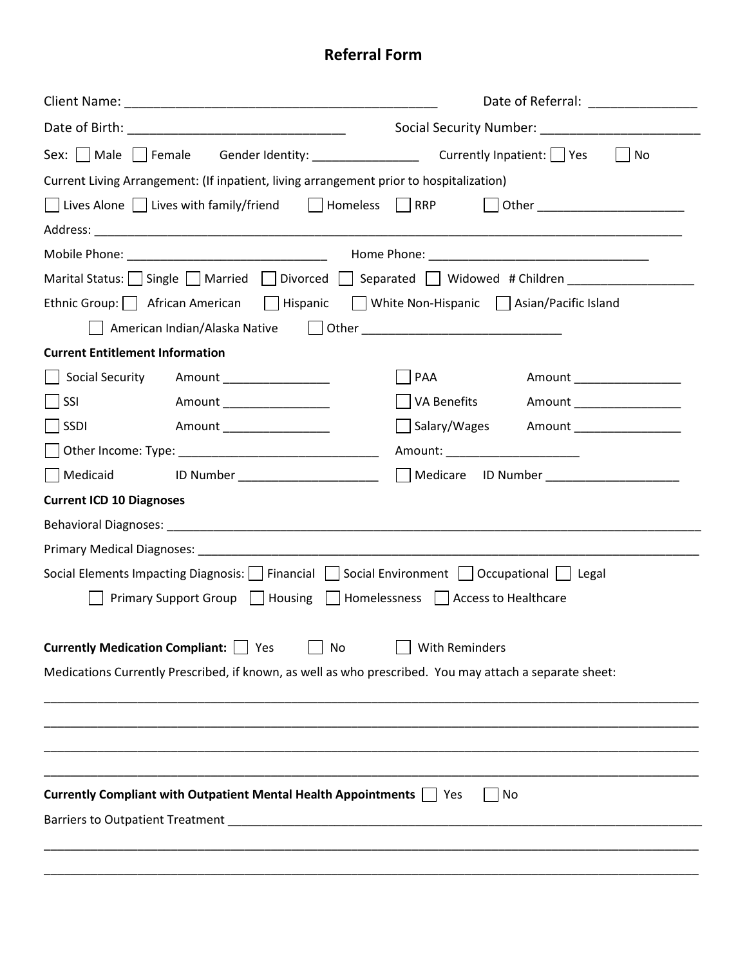# **Referral Form**

|                                                                                                                | Date of Referral: Note that the state of Referral:                                                                                                                                                                             |
|----------------------------------------------------------------------------------------------------------------|--------------------------------------------------------------------------------------------------------------------------------------------------------------------------------------------------------------------------------|
|                                                                                                                |                                                                                                                                                                                                                                |
| Sex: Male Female Gender Identity: ________________ Currently Inpatient: Yes<br>  No                            |                                                                                                                                                                                                                                |
| Current Living Arrangement: (If inpatient, living arrangement prior to hospitalization)                        |                                                                                                                                                                                                                                |
| $\Box$ Lives Alone $\Box$ Lives with family/friend $\Box$ Homeless $\Box$ RRP                                  | Other ___________________________                                                                                                                                                                                              |
|                                                                                                                |                                                                                                                                                                                                                                |
|                                                                                                                |                                                                                                                                                                                                                                |
| Marital Status: $\Box$ Single $\Box$ Married $\Box$ Divorced $\Box$ Separated $\Box$ Widowed # Children        |                                                                                                                                                                                                                                |
| Ethnic Group:   African American     Hispanic     White Non-Hispanic   Asian/Pacific Island                    |                                                                                                                                                                                                                                |
| American Indian/Alaska Native                                                                                  | Dether and the contract of the contract of the contract of the contract of the contract of the contract of the contract of the contract of the contract of the contract of the contract of the contract of the contract of the |
| <b>Current Entitlement Information</b>                                                                         |                                                                                                                                                                                                                                |
| Social Security<br>Amount <b>Amount</b>                                                                        | PAA<br>Amount __________________                                                                                                                                                                                               |
| SSI<br>Amount ________________                                                                                 | VA Benefits<br>Amount ________________                                                                                                                                                                                         |
| SSDI<br>Amount __________________                                                                              | Salary/Wages<br>Amount _________________                                                                                                                                                                                       |
|                                                                                                                | Amount: Amount:                                                                                                                                                                                                                |
| Medicaid<br>ID Number _______________________                                                                  | Medicare ID Number ____________________                                                                                                                                                                                        |
| <b>Current ICD 10 Diagnoses</b>                                                                                |                                                                                                                                                                                                                                |
|                                                                                                                |                                                                                                                                                                                                                                |
| Primary Medical Diagnoses: New York Changes and Changes and Changes and Changes and Changes and Changes and Ch |                                                                                                                                                                                                                                |
| Social Elements Impacting Diagnosis:     Financial     Social Environment     Occupational     Legal           |                                                                                                                                                                                                                                |
| Primary Support Group   Housing   Homelessness   Access to Healthcare                                          |                                                                                                                                                                                                                                |
| <b>Currently Medication Compliant:</b>   Yes<br>No                                                             | <b>With Reminders</b>                                                                                                                                                                                                          |
| Medications Currently Prescribed, if known, as well as who prescribed. You may attach a separate sheet:        |                                                                                                                                                                                                                                |
|                                                                                                                |                                                                                                                                                                                                                                |
|                                                                                                                |                                                                                                                                                                                                                                |
|                                                                                                                |                                                                                                                                                                                                                                |
| Currently Compliant with Outpatient Mental Health Appointments     Yes                                         | No                                                                                                                                                                                                                             |
|                                                                                                                |                                                                                                                                                                                                                                |
|                                                                                                                |                                                                                                                                                                                                                                |
|                                                                                                                |                                                                                                                                                                                                                                |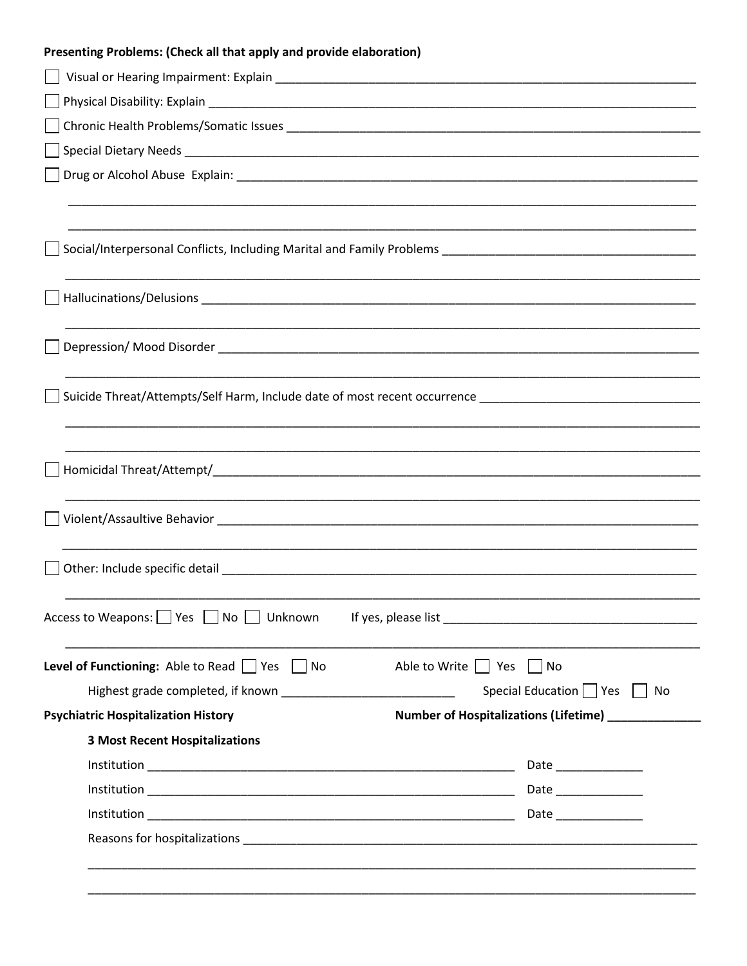| Presenting Problems: (Check all that apply and provide elaboration) |                                                                                                                                                                                                                               |
|---------------------------------------------------------------------|-------------------------------------------------------------------------------------------------------------------------------------------------------------------------------------------------------------------------------|
|                                                                     |                                                                                                                                                                                                                               |
|                                                                     |                                                                                                                                                                                                                               |
|                                                                     |                                                                                                                                                                                                                               |
|                                                                     |                                                                                                                                                                                                                               |
|                                                                     |                                                                                                                                                                                                                               |
|                                                                     |                                                                                                                                                                                                                               |
|                                                                     |                                                                                                                                                                                                                               |
|                                                                     |                                                                                                                                                                                                                               |
|                                                                     |                                                                                                                                                                                                                               |
|                                                                     |                                                                                                                                                                                                                               |
|                                                                     |                                                                                                                                                                                                                               |
|                                                                     |                                                                                                                                                                                                                               |
|                                                                     |                                                                                                                                                                                                                               |
|                                                                     |                                                                                                                                                                                                                               |
|                                                                     |                                                                                                                                                                                                                               |
|                                                                     |                                                                                                                                                                                                                               |
|                                                                     |                                                                                                                                                                                                                               |
|                                                                     |                                                                                                                                                                                                                               |
|                                                                     |                                                                                                                                                                                                                               |
|                                                                     |                                                                                                                                                                                                                               |
| Access to Weapons:     Yes     No     Unknown                       | If yes, please list experience and the set of the set of the set of the set of the set of the set of the set of the set of the set of the set of the set of the set of the set of the set of the set of the set of the set of |
| <b>Level of Functioning:</b> Able to Read $\Box$ Yes $\Box$ No      | Able to Write     Yes<br>  No                                                                                                                                                                                                 |
|                                                                     | Special Education   Yes   No                                                                                                                                                                                                  |
| <b>Psychiatric Hospitalization History</b>                          | Number of Hospitalizations (Lifetime) _______________                                                                                                                                                                         |
| <b>3 Most Recent Hospitalizations</b>                               |                                                                                                                                                                                                                               |
|                                                                     |                                                                                                                                                                                                                               |
|                                                                     |                                                                                                                                                                                                                               |
|                                                                     |                                                                                                                                                                                                                               |
|                                                                     |                                                                                                                                                                                                                               |
|                                                                     |                                                                                                                                                                                                                               |
|                                                                     |                                                                                                                                                                                                                               |